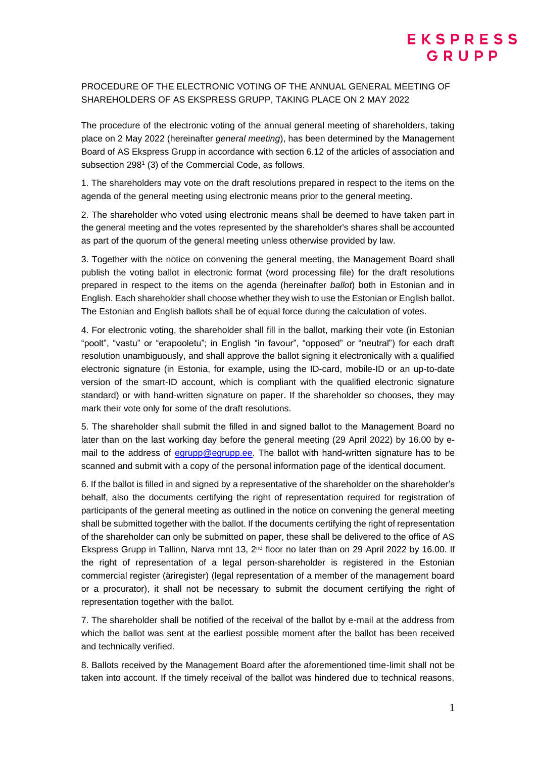## PROCEDURE OF THE ELECTRONIC VOTING OF THE ANNUAL GENERAL MEETING OF SHAREHOLDERS OF AS EKSPRESS GRUPP, TAKING PLACE ON 2 MAY 2022

The procedure of the electronic voting of the annual general meeting of shareholders, taking place on 2 May 2022 (hereinafter *general meeting*), has been determined by the Management Board of AS Ekspress Grupp in accordance with section 6.12 of the articles of association and subsection 298<sup>1</sup> (3) of the Commercial Code, as follows.

1. The shareholders may vote on the draft resolutions prepared in respect to the items on the agenda of the general meeting using electronic means prior to the general meeting.

2. The shareholder who voted using electronic means shall be deemed to have taken part in the general meeting and the votes represented by the shareholder's shares shall be accounted as part of the quorum of the general meeting unless otherwise provided by law.

3. Together with the notice on convening the general meeting, the Management Board shall publish the voting ballot in electronic format (word processing file) for the draft resolutions prepared in respect to the items on the agenda (hereinafter *ballot*) both in Estonian and in English. Each shareholder shall choose whether they wish to use the Estonian or English ballot. The Estonian and English ballots shall be of equal force during the calculation of votes.

4. For electronic voting, the shareholder shall fill in the ballot, marking their vote (in Estonian "poolt", "vastu" or "erapooletu"; in English "in favour", "opposed" or "neutral") for each draft resolution unambiguously, and shall approve the ballot signing it electronically with a qualified electronic signature (in Estonia, for example, using the ID-card, mobile-ID or an up-to-date version of the smart-ID account, which is compliant with the qualified electronic signature standard) or with hand-written signature on paper. If the shareholder so chooses, they may mark their vote only for some of the draft resolutions.

5. The shareholder shall submit the filled in and signed ballot to the Management Board no later than on the last working day before the general meeting (29 April 2022) by 16.00 by email to the address of [egrupp@egrupp.ee.](mailto:egrupp@egrupp.ee) The ballot with hand-written signature has to be scanned and submit with a copy of the personal information page of the identical document.

6. If the ballot is filled in and signed by a representative of the shareholder on the shareholder's behalf, also the documents certifying the right of representation required for registration of participants of the general meeting as outlined in the notice on convening the general meeting shall be submitted together with the ballot. If the documents certifying the right of representation of the shareholder can only be submitted on paper, these shall be delivered to the office of AS Ekspress Grupp in Tallinn, Narva mnt 13, 2<sup>nd</sup> floor no later than on 29 April 2022 by 16.00. If the right of representation of a legal person-shareholder is registered in the Estonian commercial register (äriregister) (legal representation of a member of the management board or a procurator), it shall not be necessary to submit the document certifying the right of representation together with the ballot.

7. The shareholder shall be notified of the receival of the ballot by e-mail at the address from which the ballot was sent at the earliest possible moment after the ballot has been received and technically verified.

8. Ballots received by the Management Board after the aforementioned time-limit shall not be taken into account. If the timely receival of the ballot was hindered due to technical reasons,